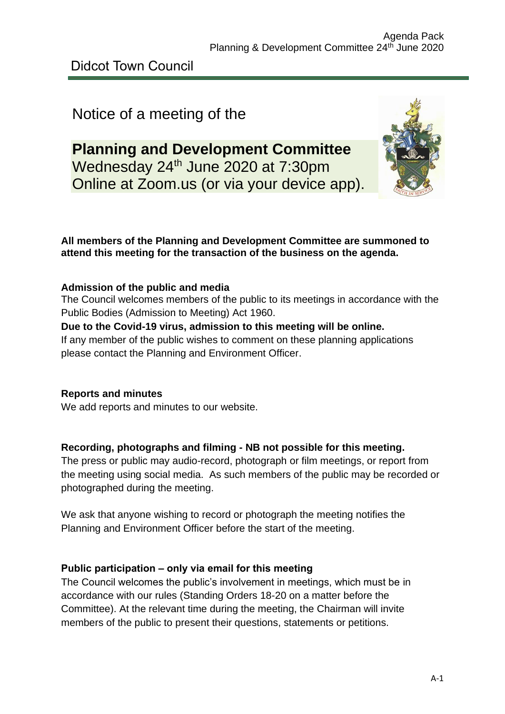# Notice of a meeting of the

# **Planning and Development Committee** Wednesday 24<sup>th</sup> June 2020 at 7:30pm Online at Zoom.us (or via your device app).



# **All members of the Planning and Development Committee are summoned to attend this meeting for the transaction of the business on the agenda.**

# **Admission of the public and media**

The Council welcomes members of the public to its meetings in accordance with the Public Bodies (Admission to Meeting) Act 1960.

#### **Due to the Covid-19 virus, admission to this meeting will be online.**

If any member of the public wishes to comment on these planning applications please contact the Planning and Environment Officer.

# **Reports and minutes**

We add reports and minutes to our website.

# **Recording, photographs and filming - NB not possible for this meeting.**

The press or public may audio-record, photograph or film meetings, or report from the meeting using social media. As such members of the public may be recorded or photographed during the meeting.

We ask that anyone wishing to record or photograph the meeting notifies the Planning and Environment Officer before the start of the meeting.

# **Public participation – only via email for this meeting**

The Council welcomes the public's involvement in meetings, which must be in accordance with our rules (Standing Orders 18-20 on a matter before the Committee). At the relevant time during the meeting, the Chairman will invite members of the public to present their questions, statements or petitions.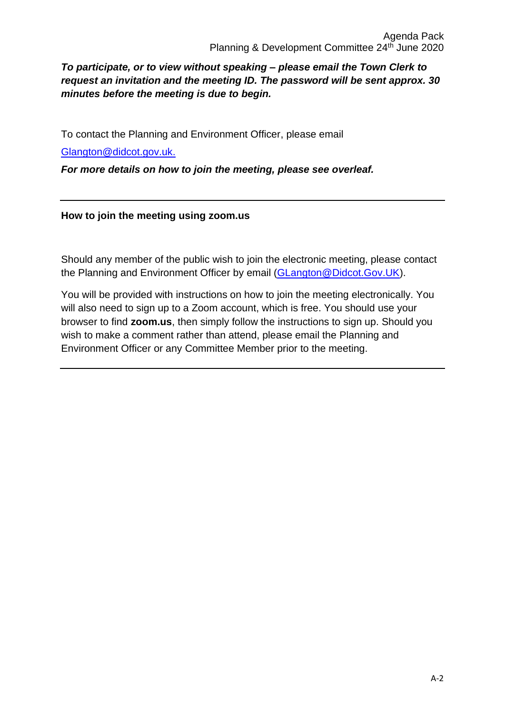# *To participate, or to view without speaking – please email the Town Clerk to request an invitation and the meeting ID. The password will be sent approx. 30 minutes before the meeting is due to begin.*

To contact the Planning and Environment Officer, please email

[Glangton@didcot.gov.uk.](mailto:Glangton@didcot.gov.uk)

*For more details on how to join the meeting, please see overleaf.*

#### **How to join the meeting using zoom.us**

Should any member of the public wish to join the electronic meeting, please contact the Planning and Environment Officer by email [\(GLangton@Didcot.Gov.UK\)](mailto:GLangton@Didcot.Gov.UK).

You will be provided with instructions on how to join the meeting electronically. You will also need to sign up to a Zoom account, which is free. You should use your browser to find **zoom.us**, then simply follow the instructions to sign up. Should you wish to make a comment rather than attend, please email the Planning and Environment Officer or any Committee Member prior to the meeting.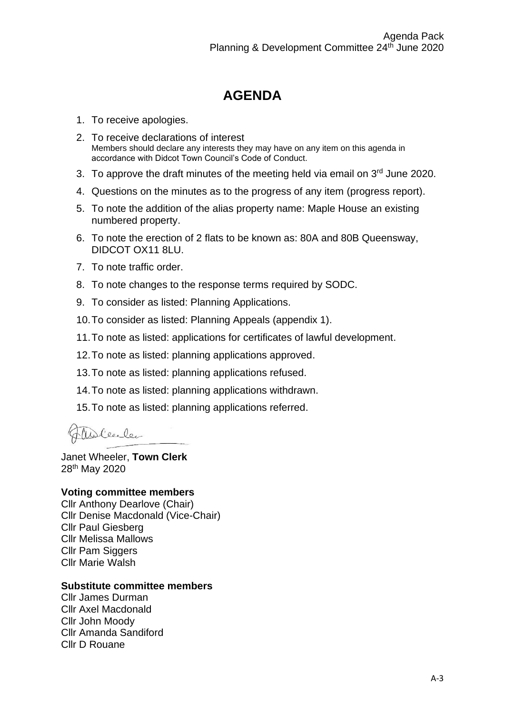# **AGENDA**

- 1. To receive apologies.
- 2. To receive declarations of interest Members should declare any interests they may have on any item on this agenda in accordance with Didcot Town Council's Code of Conduct.
- 3. To approve the draft minutes of the meeting held via email on 3<sup>rd</sup> June 2020.
- 4. Questions on the minutes as to the progress of any item (progress report).
- 5. To note the addition of the alias property name: Maple House an existing numbered property.
- 6. To note the erection of 2 flats to be known as: 80A and 80B Queensway, DIDCOT OX11 8LU.
- 7. To note traffic order.
- 8. To note changes to the response terms required by SODC.
- 9. To consider as listed: Planning Applications.
- 10.To consider as listed: Planning Appeals (appendix 1).
- 11.To note as listed: applications for certificates of lawful development.
- 12.To note as listed: planning applications approved.
- 13.To note as listed: planning applications refused.
- 14.To note as listed: planning applications withdrawn.
- 15.To note as listed: planning applications referred.

Walenler

Janet Wheeler, **Town Clerk** 28th May 2020

#### **Voting committee members**

Cllr Anthony Dearlove (Chair) Cllr Denise Macdonald (Vice-Chair) Cllr Paul Giesberg Cllr Melissa Mallows Cllr Pam Siggers Cllr Marie Walsh

#### **Substitute committee members**

Cllr James Durman Cllr Axel Macdonald Cllr John Moody Cllr Amanda Sandiford Cllr D Rouane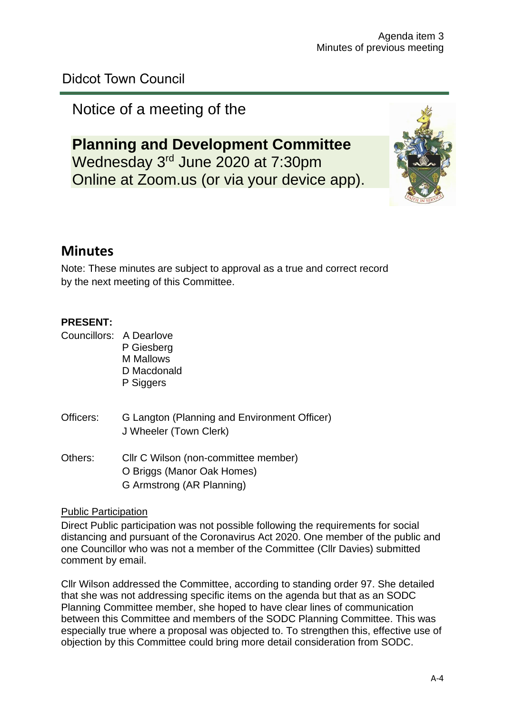# Didcot Town Council

# Notice of a meeting of the

# **Planning and Development Committee** Wednesday 3<sup>rd</sup> June 2020 at 7:30pm Online at Zoom.us (or via your device app).



# **Minutes**

Note: These minutes are subject to approval as a true and correct record by the next meeting of this Committee.

## **PRESENT:**

Councillors: A Dearlove P Giesberg M Mallows D Macdonald P Siggers

- Officers: G Langton (Planning and Environment Officer) J Wheeler (Town Clerk)
- Others: Cllr C Wilson (non-committee member) O Briggs (Manor Oak Homes) G Armstrong (AR Planning)

Public Participation

Direct Public participation was not possible following the requirements for social distancing and pursuant of the Coronavirus Act 2020. One member of the public and one Councillor who was not a member of the Committee (Cllr Davies) submitted comment by email.

Cllr Wilson addressed the Committee, according to standing order 97. She detailed that she was not addressing specific items on the agenda but that as an SODC Planning Committee member, she hoped to have clear lines of communication between this Committee and members of the SODC Planning Committee. This was especially true where a proposal was objected to. To strengthen this, effective use of objection by this Committee could bring more detail consideration from SODC.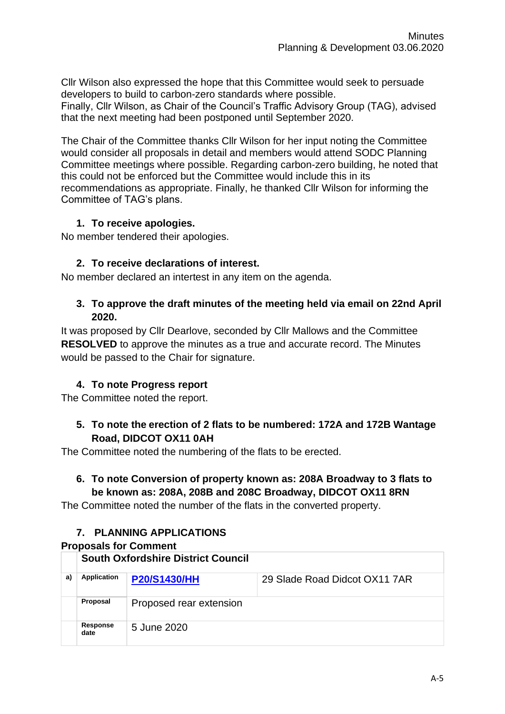Cllr Wilson also expressed the hope that this Committee would seek to persuade developers to build to carbon-zero standards where possible. Finally, Cllr Wilson, as Chair of the Council's Traffic Advisory Group (TAG), advised that the next meeting had been postponed until September 2020.

The Chair of the Committee thanks Cllr Wilson for her input noting the Committee would consider all proposals in detail and members would attend SODC Planning Committee meetings where possible. Regarding carbon-zero building, he noted that this could not be enforced but the Committee would include this in its recommendations as appropriate. Finally, he thanked Cllr Wilson for informing the Committee of TAG's plans.

## **1. To receive apologies.**

No member tendered their apologies.

## **2. To receive declarations of interest.**

No member declared an intertest in any item on the agenda.

#### **3. To approve the draft minutes of the meeting held via email on 22nd April 2020.**

It was proposed by Cllr Dearlove, seconded by Cllr Mallows and the Committee **RESOLVED** to approve the minutes as a true and accurate record. The Minutes would be passed to the Chair for signature.

# **4. To note Progress report**

The Committee noted the report.

## **5. To note the erection of 2 flats to be numbered: 172A and 172B Wantage Road, DIDCOT OX11 0AH**

The Committee noted the numbering of the flats to be erected.

# **6. To note Conversion of property known as: 208A Broadway to 3 flats to be known as: 208A, 208B and 208C Broadway, DIDCOT OX11 8RN**

The Committee noted the number of the flats in the converted property.

# **7. PLANNING APPLICATIONS**

#### **Proposals for Comment**

|    | <b>South Oxfordshire District Council</b> |                         |                               |  |
|----|-------------------------------------------|-------------------------|-------------------------------|--|
| a) | Application                               | <b>P20/S1430/HH</b>     | 29 Slade Road Didcot OX11 7AR |  |
|    | Proposal                                  | Proposed rear extension |                               |  |
|    | Response<br>date                          | 5 June 2020             |                               |  |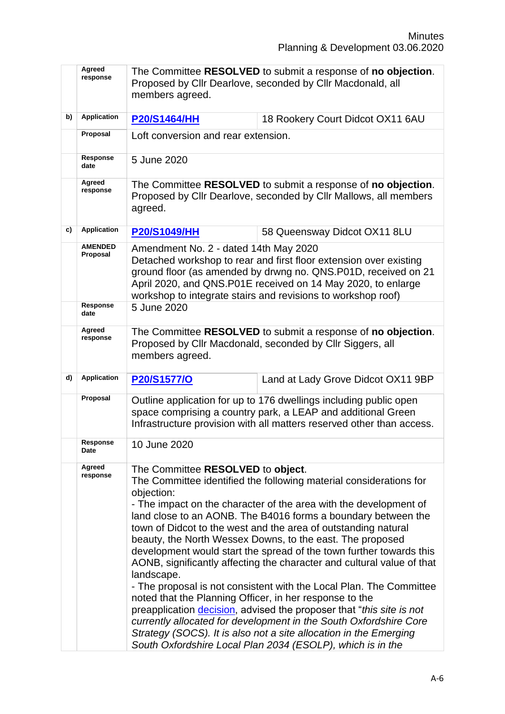|    | Agreed<br>response         | The Committee RESOLVED to submit a response of no objection.<br>Proposed by Cllr Dearlove, seconded by Cllr Macdonald, all<br>members agreed.                                                                                                                                                                                                                                                                                                                                                                                                                                                                                                                                                                                                                                                                                                                                                                                                                               |                                                                                                                                                                                                                                                                     |  |
|----|----------------------------|-----------------------------------------------------------------------------------------------------------------------------------------------------------------------------------------------------------------------------------------------------------------------------------------------------------------------------------------------------------------------------------------------------------------------------------------------------------------------------------------------------------------------------------------------------------------------------------------------------------------------------------------------------------------------------------------------------------------------------------------------------------------------------------------------------------------------------------------------------------------------------------------------------------------------------------------------------------------------------|---------------------------------------------------------------------------------------------------------------------------------------------------------------------------------------------------------------------------------------------------------------------|--|
| b) | <b>Application</b>         | <b>P20/S1464/HH</b>                                                                                                                                                                                                                                                                                                                                                                                                                                                                                                                                                                                                                                                                                                                                                                                                                                                                                                                                                         | 18 Rookery Court Didcot OX11 6AU                                                                                                                                                                                                                                    |  |
|    | Proposal                   | Loft conversion and rear extension.                                                                                                                                                                                                                                                                                                                                                                                                                                                                                                                                                                                                                                                                                                                                                                                                                                                                                                                                         |                                                                                                                                                                                                                                                                     |  |
|    | Response<br>date           | 5 June 2020                                                                                                                                                                                                                                                                                                                                                                                                                                                                                                                                                                                                                                                                                                                                                                                                                                                                                                                                                                 |                                                                                                                                                                                                                                                                     |  |
|    | Agreed<br>response         | agreed.                                                                                                                                                                                                                                                                                                                                                                                                                                                                                                                                                                                                                                                                                                                                                                                                                                                                                                                                                                     | The Committee RESOLVED to submit a response of no objection.<br>Proposed by Cllr Dearlove, seconded by Cllr Mallows, all members                                                                                                                                    |  |
| c) | <b>Application</b>         | <b>P20/S1049/HH</b>                                                                                                                                                                                                                                                                                                                                                                                                                                                                                                                                                                                                                                                                                                                                                                                                                                                                                                                                                         | 58 Queensway Didcot OX11 8LU                                                                                                                                                                                                                                        |  |
|    | <b>AMENDED</b><br>Proposal | Amendment No. 2 - dated 14th May 2020                                                                                                                                                                                                                                                                                                                                                                                                                                                                                                                                                                                                                                                                                                                                                                                                                                                                                                                                       | Detached workshop to rear and first floor extension over existing<br>ground floor (as amended by drwng no. QNS.P01D, received on 21<br>April 2020, and QNS.P01E received on 14 May 2020, to enlarge<br>workshop to integrate stairs and revisions to workshop roof) |  |
|    | Response<br>date           | 5 June 2020                                                                                                                                                                                                                                                                                                                                                                                                                                                                                                                                                                                                                                                                                                                                                                                                                                                                                                                                                                 |                                                                                                                                                                                                                                                                     |  |
|    | Agreed<br>response         | members agreed.                                                                                                                                                                                                                                                                                                                                                                                                                                                                                                                                                                                                                                                                                                                                                                                                                                                                                                                                                             | The Committee RESOLVED to submit a response of no objection.<br>Proposed by Cllr Macdonald, seconded by Cllr Siggers, all                                                                                                                                           |  |
| d) | <b>Application</b>         | P20/S1577/O                                                                                                                                                                                                                                                                                                                                                                                                                                                                                                                                                                                                                                                                                                                                                                                                                                                                                                                                                                 | Land at Lady Grove Didcot OX11 9BP                                                                                                                                                                                                                                  |  |
|    | Proposal                   |                                                                                                                                                                                                                                                                                                                                                                                                                                                                                                                                                                                                                                                                                                                                                                                                                                                                                                                                                                             | Outline application for up to 176 dwellings including public open<br>space comprising a country park, a LEAP and additional Green<br>Infrastructure provision with all matters reserved other than access.                                                          |  |
|    | Response<br>Date           | 10 June 2020                                                                                                                                                                                                                                                                                                                                                                                                                                                                                                                                                                                                                                                                                                                                                                                                                                                                                                                                                                |                                                                                                                                                                                                                                                                     |  |
|    | Agreed<br>response         | The Committee RESOLVED to object.<br>The Committee identified the following material considerations for<br>objection:<br>- The impact on the character of the area with the development of<br>land close to an AONB. The B4016 forms a boundary between the<br>town of Didcot to the west and the area of outstanding natural<br>beauty, the North Wessex Downs, to the east. The proposed<br>development would start the spread of the town further towards this<br>AONB, significantly affecting the character and cultural value of that<br>landscape.<br>- The proposal is not consistent with the Local Plan. The Committee<br>noted that the Planning Officer, in her response to the<br>preapplication decision, advised the proposer that "this site is not<br>currently allocated for development in the South Oxfordshire Core<br>Strategy (SOCS). It is also not a site allocation in the Emerging<br>South Oxfordshire Local Plan 2034 (ESOLP), which is in the |                                                                                                                                                                                                                                                                     |  |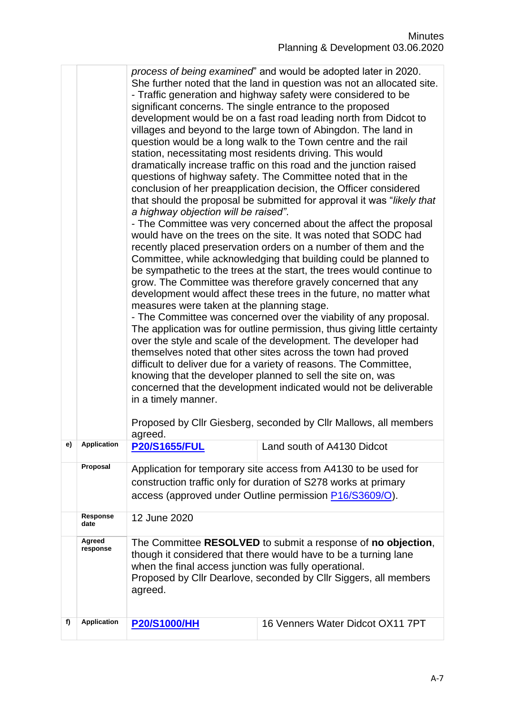|     |                    | She further noted that the land in question was not an allocated site.<br>- Traffic generation and highway safety were considered to be<br>significant concerns. The single entrance to the proposed<br>development would be on a fast road leading north from Didcot to<br>villages and beyond to the large town of Abingdon. The land in<br>question would be a long walk to the Town centre and the rail<br>station, necessitating most residents driving. This would<br>dramatically increase traffic on this road and the junction raised<br>questions of highway safety. The Committee noted that in the<br>conclusion of her preapplication decision, the Officer considered<br>that should the proposal be submitted for approval it was "likely that<br>a highway objection will be raised".<br>- The Committee was very concerned about the affect the proposal<br>would have on the trees on the site. It was noted that SODC had<br>recently placed preservation orders on a number of them and the<br>Committee, while acknowledging that building could be planned to<br>be sympathetic to the trees at the start, the trees would continue to<br>grow. The Committee was therefore gravely concerned that any<br>development would affect these trees in the future, no matter what<br>measures were taken at the planning stage.<br>- The Committee was concerned over the viability of any proposal.<br>The application was for outline permission, thus giving little certainty<br>over the style and scale of the development. The developer had<br>themselves noted that other sites across the town had proved<br>difficult to deliver due for a variety of reasons. The Committee,<br>knowing that the developer planned to sell the site on, was<br>concerned that the development indicated would not be deliverable<br>in a timely manner.<br>Proposed by Cllr Giesberg, seconded by Cllr Mallows, all members |                                  |  |
|-----|--------------------|-----------------------------------------------------------------------------------------------------------------------------------------------------------------------------------------------------------------------------------------------------------------------------------------------------------------------------------------------------------------------------------------------------------------------------------------------------------------------------------------------------------------------------------------------------------------------------------------------------------------------------------------------------------------------------------------------------------------------------------------------------------------------------------------------------------------------------------------------------------------------------------------------------------------------------------------------------------------------------------------------------------------------------------------------------------------------------------------------------------------------------------------------------------------------------------------------------------------------------------------------------------------------------------------------------------------------------------------------------------------------------------------------------------------------------------------------------------------------------------------------------------------------------------------------------------------------------------------------------------------------------------------------------------------------------------------------------------------------------------------------------------------------------------------------------------------------------------------------------------------------------------------------------------------------------------------|----------------------------------|--|
| e). | Application        | <b>P20/S1655/FUL</b>                                                                                                                                                                                                                                                                                                                                                                                                                                                                                                                                                                                                                                                                                                                                                                                                                                                                                                                                                                                                                                                                                                                                                                                                                                                                                                                                                                                                                                                                                                                                                                                                                                                                                                                                                                                                                                                                                                                    | Land south of A4130 Didcot       |  |
|     | Proposal           | Application for temporary site access from A4130 to be used for<br>construction traffic only for duration of S278 works at primary<br>access (approved under Outline permission P16/S3609/O).                                                                                                                                                                                                                                                                                                                                                                                                                                                                                                                                                                                                                                                                                                                                                                                                                                                                                                                                                                                                                                                                                                                                                                                                                                                                                                                                                                                                                                                                                                                                                                                                                                                                                                                                           |                                  |  |
|     | Response<br>date   | 12 June 2020                                                                                                                                                                                                                                                                                                                                                                                                                                                                                                                                                                                                                                                                                                                                                                                                                                                                                                                                                                                                                                                                                                                                                                                                                                                                                                                                                                                                                                                                                                                                                                                                                                                                                                                                                                                                                                                                                                                            |                                  |  |
|     | Agreed<br>response | The Committee RESOLVED to submit a response of no objection,<br>though it considered that there would have to be a turning lane<br>when the final access junction was fully operational.<br>Proposed by Cllr Dearlove, seconded by Cllr Siggers, all members<br>agreed.                                                                                                                                                                                                                                                                                                                                                                                                                                                                                                                                                                                                                                                                                                                                                                                                                                                                                                                                                                                                                                                                                                                                                                                                                                                                                                                                                                                                                                                                                                                                                                                                                                                                 |                                  |  |
| f)  | <b>Application</b> | <b>P20/S1000/HH</b>                                                                                                                                                                                                                                                                                                                                                                                                                                                                                                                                                                                                                                                                                                                                                                                                                                                                                                                                                                                                                                                                                                                                                                                                                                                                                                                                                                                                                                                                                                                                                                                                                                                                                                                                                                                                                                                                                                                     | 16 Venners Water Didcot OX11 7PT |  |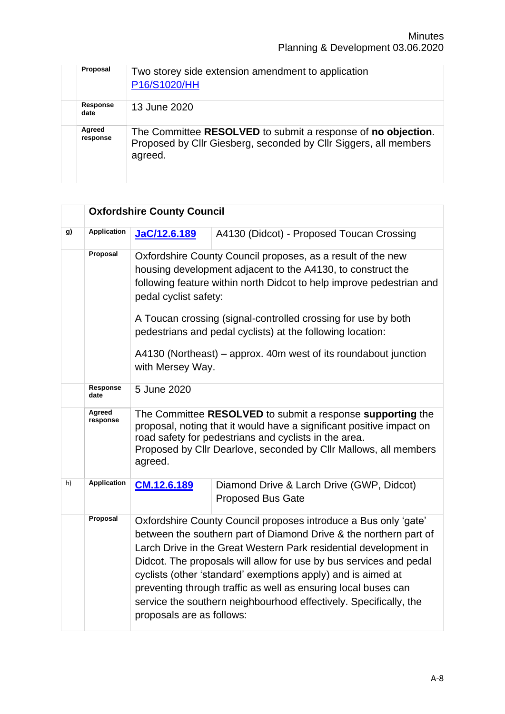| Proposal           | Two storey side extension amendment to application<br>P16/S1020/HH                                                                          |
|--------------------|---------------------------------------------------------------------------------------------------------------------------------------------|
| Response<br>date   | 13 June 2020                                                                                                                                |
| Agreed<br>response | The Committee RESOLVED to submit a response of no objection.<br>Proposed by Cllr Giesberg, seconded by Cllr Siggers, all members<br>agreed. |

|    |                         | <b>Oxfordshire County Council</b>                                                                                                                                                                                                                                                                                                                          |                                                                                                                                                                                                                                                                                                                                                                                                                                                                                       |  |
|----|-------------------------|------------------------------------------------------------------------------------------------------------------------------------------------------------------------------------------------------------------------------------------------------------------------------------------------------------------------------------------------------------|---------------------------------------------------------------------------------------------------------------------------------------------------------------------------------------------------------------------------------------------------------------------------------------------------------------------------------------------------------------------------------------------------------------------------------------------------------------------------------------|--|
| g) | <b>Application</b>      | JaC/12.6.189                                                                                                                                                                                                                                                                                                                                               | A4130 (Didcot) - Proposed Toucan Crossing                                                                                                                                                                                                                                                                                                                                                                                                                                             |  |
|    | Proposal                | Oxfordshire County Council proposes, as a result of the new<br>housing development adjacent to the A4130, to construct the<br>following feature within north Didcot to help improve pedestrian and<br>pedal cyclist safety:<br>A Toucan crossing (signal-controlled crossing for use by both<br>pedestrians and pedal cyclists) at the following location: |                                                                                                                                                                                                                                                                                                                                                                                                                                                                                       |  |
|    |                         | A4130 (Northeast) – approx. 40m west of its roundabout junction<br>with Mersey Way.                                                                                                                                                                                                                                                                        |                                                                                                                                                                                                                                                                                                                                                                                                                                                                                       |  |
|    | <b>Response</b><br>date | 5 June 2020                                                                                                                                                                                                                                                                                                                                                |                                                                                                                                                                                                                                                                                                                                                                                                                                                                                       |  |
|    | Agreed<br>response      | The Committee RESOLVED to submit a response supporting the<br>proposal, noting that it would have a significant positive impact on<br>road safety for pedestrians and cyclists in the area.<br>Proposed by Cllr Dearlove, seconded by Cllr Mallows, all members<br>agreed.                                                                                 |                                                                                                                                                                                                                                                                                                                                                                                                                                                                                       |  |
| h) | <b>Application</b>      | CM.12.6.189                                                                                                                                                                                                                                                                                                                                                | Diamond Drive & Larch Drive (GWP, Didcot)<br><b>Proposed Bus Gate</b>                                                                                                                                                                                                                                                                                                                                                                                                                 |  |
|    | Proposal                | proposals are as follows:                                                                                                                                                                                                                                                                                                                                  | Oxfordshire County Council proposes introduce a Bus only 'gate'<br>between the southern part of Diamond Drive & the northern part of<br>Larch Drive in the Great Western Park residential development in<br>Didcot. The proposals will allow for use by bus services and pedal<br>cyclists (other 'standard' exemptions apply) and is aimed at<br>preventing through traffic as well as ensuring local buses can<br>service the southern neighbourhood effectively. Specifically, the |  |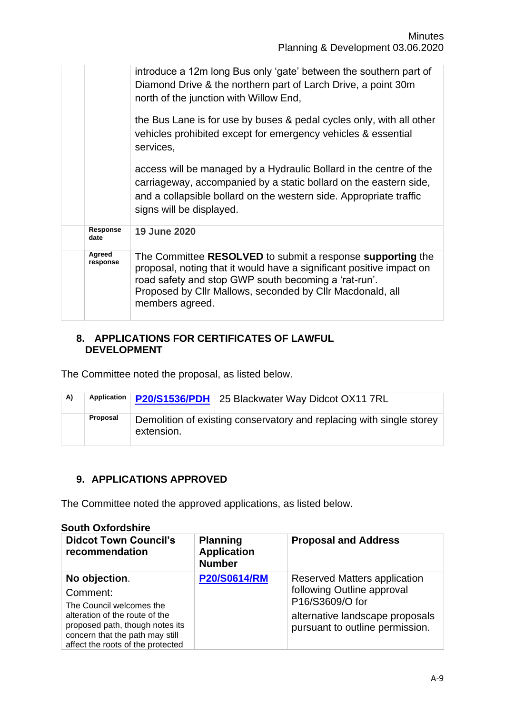|                    | introduce a 12m long Bus only 'gate' between the southern part of<br>Diamond Drive & the northern part of Larch Drive, a point 30m<br>north of the junction with Willow End,                                                                                               |
|--------------------|----------------------------------------------------------------------------------------------------------------------------------------------------------------------------------------------------------------------------------------------------------------------------|
|                    | the Bus Lane is for use by buses & pedal cycles only, with all other<br>vehicles prohibited except for emergency vehicles & essential<br>services,                                                                                                                         |
|                    | access will be managed by a Hydraulic Bollard in the centre of the<br>carriageway, accompanied by a static bollard on the eastern side,<br>and a collapsible bollard on the western side. Appropriate traffic<br>signs will be displayed.                                  |
| Response<br>date   | 19 June 2020                                                                                                                                                                                                                                                               |
| Agreed<br>response | The Committee RESOLVED to submit a response supporting the<br>proposal, noting that it would have a significant positive impact on<br>road safety and stop GWP south becoming a 'rat-run'.<br>Proposed by Cllr Mallows, seconded by Cllr Macdonald, all<br>members agreed. |

#### **8. APPLICATIONS FOR CERTIFICATES OF LAWFUL DEVELOPMENT**

The Committee noted the proposal, as listed below.

| A) | Application | P20/S1536/PDH 25 Blackwater Way Didcot OX11 7RL                                    |
|----|-------------|------------------------------------------------------------------------------------|
|    | Proposal    | Demolition of existing conservatory and replacing with single storey<br>extension. |

# **9. APPLICATIONS APPROVED**

The Committee noted the approved applications, as listed below.

#### **South Oxfordshire**

| <b>Didcot Town Council's</b><br>recommendation                                                                                                                                                     | <b>Planning</b><br><b>Application</b><br><b>Number</b> | <b>Proposal and Address</b>                                                                                                                                |
|----------------------------------------------------------------------------------------------------------------------------------------------------------------------------------------------------|--------------------------------------------------------|------------------------------------------------------------------------------------------------------------------------------------------------------------|
| No objection.<br>Comment:<br>The Council welcomes the<br>alteration of the route of the<br>proposed path, though notes its<br>concern that the path may still<br>affect the roots of the protected | <b>P20/S0614/RM</b>                                    | <b>Reserved Matters application</b><br>following Outline approval<br>P16/S3609/O for<br>alternative landscape proposals<br>pursuant to outline permission. |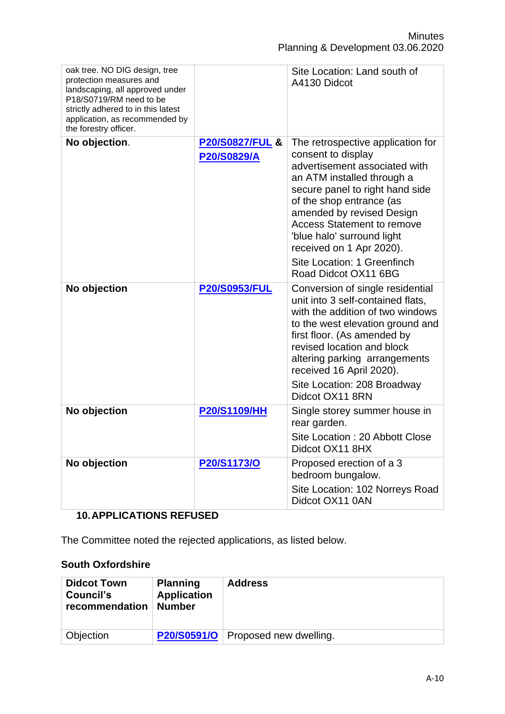| oak tree. NO DIG design, tree<br>protection measures and<br>landscaping, all approved under<br>P18/S0719/RM need to be<br>strictly adhered to in this latest<br>application, as recommended by<br>the forestry officer. |                                           | Site Location: Land south of<br>A4130 Didcot                                                                                                                                                                                                                                                                                                                             |
|-------------------------------------------------------------------------------------------------------------------------------------------------------------------------------------------------------------------------|-------------------------------------------|--------------------------------------------------------------------------------------------------------------------------------------------------------------------------------------------------------------------------------------------------------------------------------------------------------------------------------------------------------------------------|
| No objection.                                                                                                                                                                                                           | <b>P20/S0827/FUL &amp;</b><br>P20/S0829/A | The retrospective application for<br>consent to display<br>advertisement associated with<br>an ATM installed through a<br>secure panel to right hand side<br>of the shop entrance (as<br>amended by revised Design<br><b>Access Statement to remove</b><br>'blue halo' surround light<br>received on 1 Apr 2020).<br>Site Location: 1 Greenfinch<br>Road Didcot OX11 6BG |
| No objection                                                                                                                                                                                                            | <b>P20/S0953/FUL</b>                      | Conversion of single residential<br>unit into 3 self-contained flats,<br>with the addition of two windows<br>to the west elevation ground and<br>first floor. (As amended by<br>revised location and block<br>altering parking arrangements<br>received 16 April 2020).<br>Site Location: 208 Broadway<br>Didcot OX11 8RN                                                |
| No objection                                                                                                                                                                                                            | <b>P20/S1109/HH</b>                       | Single storey summer house in<br>rear garden.<br>Site Location: 20 Abbott Close<br>Didcot OX11 8HX                                                                                                                                                                                                                                                                       |
| No objection                                                                                                                                                                                                            | P20/S1173/O                               | Proposed erection of a 3<br>bedroom bungalow.<br>Site Location: 102 Norreys Road<br>Didcot OX11 0AN                                                                                                                                                                                                                                                                      |

# **10.APPLICATIONS REFUSED**

The Committee noted the rejected applications, as listed below.

# **South Oxfordshire**

| <b>Didcot Town</b><br>Council's<br>recommendation | <b>Planning</b><br><b>Application</b><br><b>Number</b> | <b>Address</b>         |
|---------------------------------------------------|--------------------------------------------------------|------------------------|
| Objection                                         | <b>P20/S0591/O</b>                                     | Proposed new dwelling. |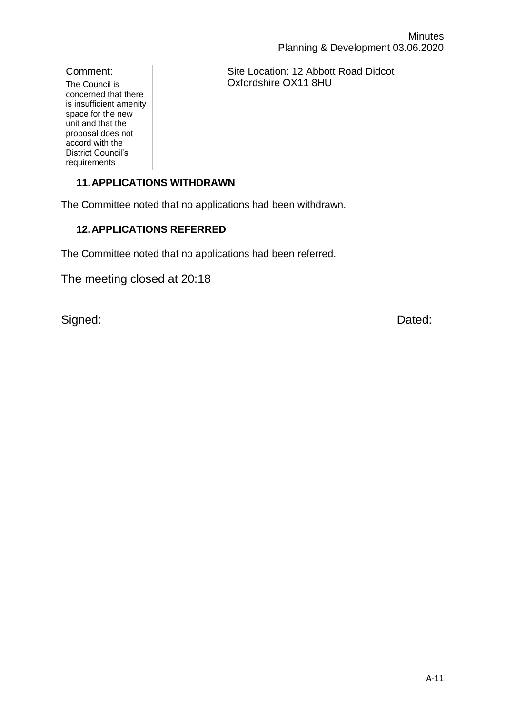| Comment:                                                                                                                                                                                  | Site Location: 12 Abbott Road Didcot |
|-------------------------------------------------------------------------------------------------------------------------------------------------------------------------------------------|--------------------------------------|
| The Council is<br>concerned that there<br>is insufficient amenity<br>space for the new<br>unit and that the<br>proposal does not<br>accord with the<br>District Council's<br>requirements | Oxfordshire OX11 8HU                 |

# **11.APPLICATIONS WITHDRAWN**

The Committee noted that no applications had been withdrawn.

# **12.APPLICATIONS REFERRED**

The Committee noted that no applications had been referred.

The meeting closed at 20:18

Signed: **Dated: Dated: Dated: Dated: Dated: Dated: Dated: Dated: Dated: Dated: Dated: Dated: Dated: Dated: Dated: Dated: Dated: Dated: Dated: Dated: Dated: Dated: Dated: Dated:**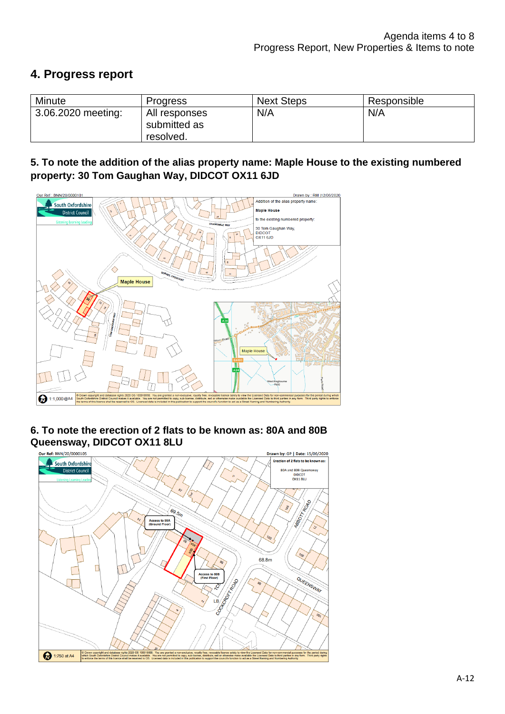# **4. Progress report**

| Minute             | <b>Progress</b>                            | <b>Next Steps</b> | Responsible |
|--------------------|--------------------------------------------|-------------------|-------------|
| 3.06.2020 meeting: | All responses<br>submitted as<br>resolved. | N/A               | N/A         |

## **5. To note the addition of the alias property name: Maple House to the existing numbered property: 30 Tom Gaughan Way, DIDCOT OX11 6JD**



#### **6. To note the erection of 2 flats to be known as: 80A and 80B Queensway, DIDCOT OX11 8LU**

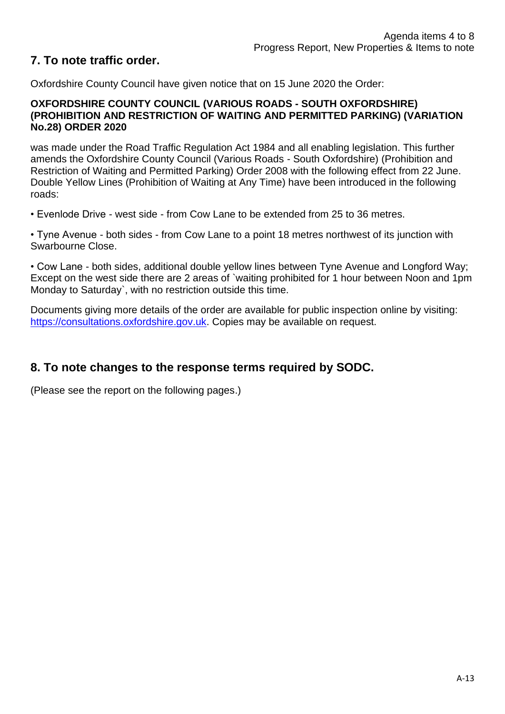# **7. To note traffic order.**

Oxfordshire County Council have given notice that on 15 June 2020 the Order:

#### **OXFORDSHIRE COUNTY COUNCIL (VARIOUS ROADS - SOUTH OXFORDSHIRE) (PROHIBITION AND RESTRICTION OF WAITING AND PERMITTED PARKING) (VARIATION No.28) ORDER 2020**

was made under the Road Traffic Regulation Act 1984 and all enabling legislation. This further amends the Oxfordshire County Council (Various Roads - South Oxfordshire) (Prohibition and Restriction of Waiting and Permitted Parking) Order 2008 with the following effect from 22 June. Double Yellow Lines (Prohibition of Waiting at Any Time) have been introduced in the following roads:

• Evenlode Drive - west side - from Cow Lane to be extended from 25 to 36 metres.

• Tyne Avenue - both sides - from Cow Lane to a point 18 metres northwest of its junction with Swarbourne Close.

• Cow Lane - both sides, additional double yellow lines between Tyne Avenue and Longford Way; Except on the west side there are 2 areas of `waiting prohibited for 1 hour between Noon and 1pm Monday to Saturday`, with no restriction outside this time.

Documents giving more details of the order are available for public inspection online by visiting: [https://consultations.oxfordshire.gov.uk.](https://consultations.oxfordshire.gov.uk/) Copies may be available on request.

# **8. To note changes to the response terms required by SODC.**

(Please see the report on the following pages.)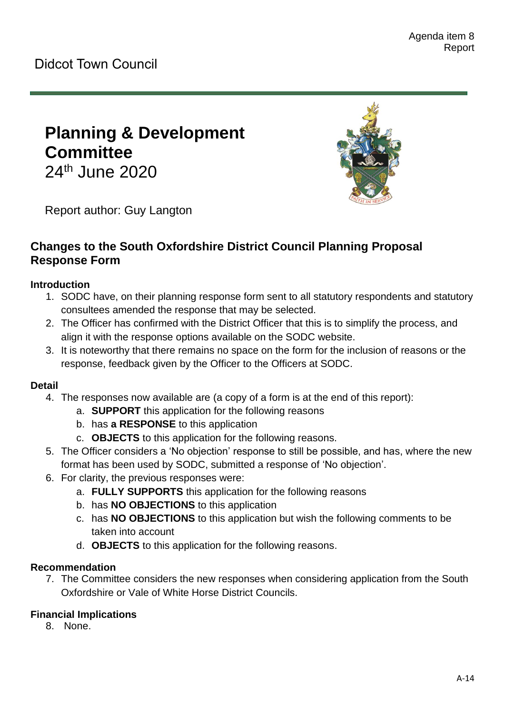# **Planning & Development Committee**

24<sup>th</sup> June 2020



Report author: Guy Langton

# **Changes to the South Oxfordshire District Council Planning Proposal Response Form**

## **Introduction**

- 1. SODC have, on their planning response form sent to all statutory respondents and statutory consultees amended the response that may be selected.
- 2. The Officer has confirmed with the District Officer that this is to simplify the process, and align it with the response options available on the SODC website.
- 3. It is noteworthy that there remains no space on the form for the inclusion of reasons or the response, feedback given by the Officer to the Officers at SODC.

#### **Detail**

- 4. The responses now available are (a copy of a form is at the end of this report):
	- a. **SUPPORT** this application for the following reasons
	- b. has **a RESPONSE** to this application
	- c. **OBJECTS** to this application for the following reasons.
- 5. The Officer considers a 'No objection' response to still be possible, and has, where the new format has been used by SODC, submitted a response of 'No objection'.
- 6. For clarity, the previous responses were:
	- a. **FULLY SUPPORTS** this application for the following reasons
	- b. has **NO OBJECTIONS** to this application
	- c. has **NO OBJECTIONS** to this application but wish the following comments to be taken into account
	- d. **OBJECTS** to this application for the following reasons.

#### **Recommendation**

7. The Committee considers the new responses when considering application from the South Oxfordshire or Vale of White Horse District Councils.

# **Financial Implications**

8. None.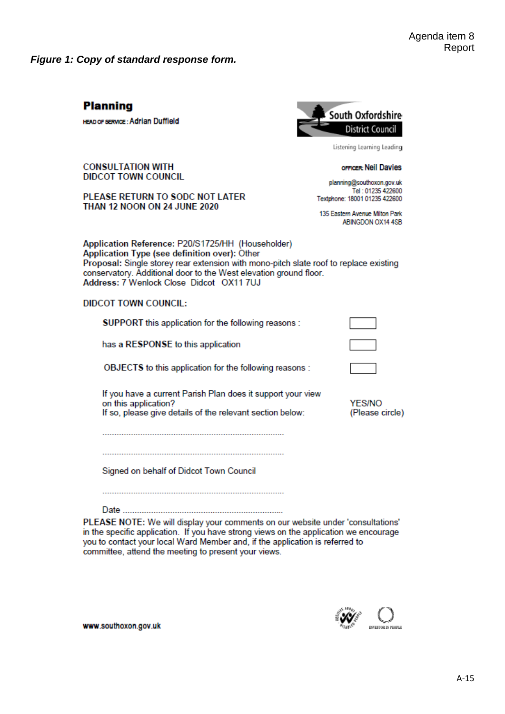*Figure 1: Copy of standard response form.*

# **Planning**

**HEAD OF SERVICE: Adrian Duffield** 



Listening Learning Leading

**OFFICER: Neil Davies** 

planning@southoxon.gov.uk Tel: 01235 422600 Textphone: 18001 01235 422600

135 Eastern Avenue Milton Park ABINGDON OX14 4SB

**CONSULTATION WITH DIDCOT TOWN COUNCIL** 

PLEASE RETURN TO SODC NOT LATER THAN 12 NOON ON 24 JUNE 2020

Application Reference: P20/S1725/HH (Householder) Application Type (see definition over): Other Proposal: Single storey rear extension with mono-pitch slate roof to replace existing conservatory. Additional door to the West elevation ground floor. Address: 7 Wenlock Close Didcot OX11 7UJ

#### **DIDCOT TOWN COUNCIL:**

| SUPPORT this application for the following reasons :                                                                                             |                                  |
|--------------------------------------------------------------------------------------------------------------------------------------------------|----------------------------------|
| has a RESPONSE to this application                                                                                                               |                                  |
| OBJECTS to this application for the following reasons :                                                                                          |                                  |
| If you have a current Parish Plan does it support your view<br>on this application?<br>If so, please give details of the relevant section below: | <b>YES/NO</b><br>(Please circle) |
|                                                                                                                                                  |                                  |

Signed on behalf of Didcot Town Council

PLEASE NOTE: We will display your comments on our website under 'consultations' in the specific application. If you have strong views on the application we encourage you to contact your local Ward Member and, if the application is referred to committee, attend the meeting to present your views.



www.southoxon.gov.uk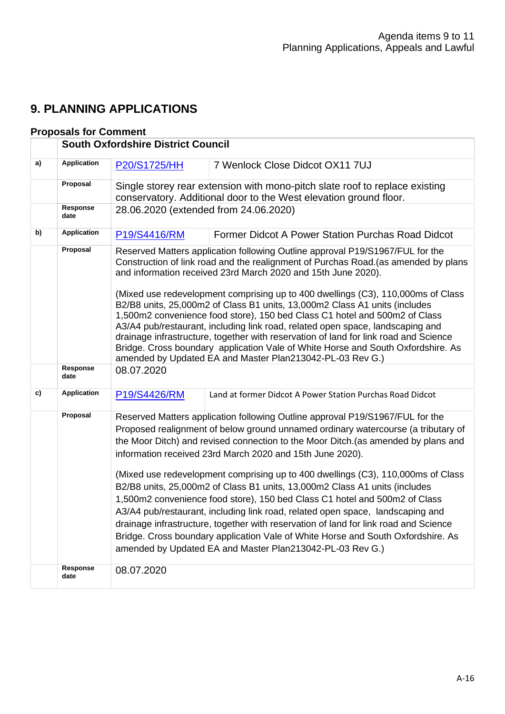# **9. PLANNING APPLICATIONS**

## **Proposals for Comment**

|    |                         | <b>South Oxfordshire District Council</b>                                                                                                                                                                                                                                                                                                                                                                                                                                                                                                                                                                                                                                                                                                                                                                                                                                                        |                                                           |  |  |
|----|-------------------------|--------------------------------------------------------------------------------------------------------------------------------------------------------------------------------------------------------------------------------------------------------------------------------------------------------------------------------------------------------------------------------------------------------------------------------------------------------------------------------------------------------------------------------------------------------------------------------------------------------------------------------------------------------------------------------------------------------------------------------------------------------------------------------------------------------------------------------------------------------------------------------------------------|-----------------------------------------------------------|--|--|
| a) | <b>Application</b>      | P20/S1725/HH                                                                                                                                                                                                                                                                                                                                                                                                                                                                                                                                                                                                                                                                                                                                                                                                                                                                                     | 7 Wenlock Close Didcot OX11 7UJ                           |  |  |
|    | Proposal                | Single storey rear extension with mono-pitch slate roof to replace existing<br>conservatory. Additional door to the West elevation ground floor.                                                                                                                                                                                                                                                                                                                                                                                                                                                                                                                                                                                                                                                                                                                                                 |                                                           |  |  |
|    | <b>Response</b><br>date | 28.06.2020 (extended from 24.06.2020)                                                                                                                                                                                                                                                                                                                                                                                                                                                                                                                                                                                                                                                                                                                                                                                                                                                            |                                                           |  |  |
| b) | <b>Application</b>      | P19/S4416/RM                                                                                                                                                                                                                                                                                                                                                                                                                                                                                                                                                                                                                                                                                                                                                                                                                                                                                     | Former Didcot A Power Station Purchas Road Didcot         |  |  |
|    | Proposal                | Reserved Matters application following Outline approval P19/S1967/FUL for the<br>Construction of link road and the realignment of Purchas Road. (as amended by plans<br>and information received 23rd March 2020 and 15th June 2020).                                                                                                                                                                                                                                                                                                                                                                                                                                                                                                                                                                                                                                                            |                                                           |  |  |
|    |                         | (Mixed use redevelopment comprising up to 400 dwellings (C3), 110,000ms of Class<br>B2/B8 units, 25,000m2 of Class B1 units, 13,000m2 Class A1 units (includes<br>1,500m2 convenience food store), 150 bed Class C1 hotel and 500m2 of Class<br>A3/A4 pub/restaurant, including link road, related open space, landscaping and<br>drainage infrastructure, together with reservation of land for link road and Science<br>Bridge. Cross boundary application Vale of White Horse and South Oxfordshire. As<br>amended by Updated EA and Master Plan213042-PL-03 Rev G.)                                                                                                                                                                                                                                                                                                                          |                                                           |  |  |
|    | Response<br>date        | 08.07.2020                                                                                                                                                                                                                                                                                                                                                                                                                                                                                                                                                                                                                                                                                                                                                                                                                                                                                       |                                                           |  |  |
| c) | <b>Application</b>      | P19/S4426/RM                                                                                                                                                                                                                                                                                                                                                                                                                                                                                                                                                                                                                                                                                                                                                                                                                                                                                     | Land at former Didcot A Power Station Purchas Road Didcot |  |  |
|    | Proposal                | Reserved Matters application following Outline approval P19/S1967/FUL for the<br>Proposed realignment of below ground unnamed ordinary watercourse (a tributary of<br>the Moor Ditch) and revised connection to the Moor Ditch. (as amended by plans and<br>information received 23rd March 2020 and 15th June 2020).<br>(Mixed use redevelopment comprising up to 400 dwellings (C3), 110,000ms of Class<br>B2/B8 units, 25,000m2 of Class B1 units, 13,000m2 Class A1 units (includes<br>1,500m2 convenience food store), 150 bed Class C1 hotel and 500m2 of Class<br>A3/A4 pub/restaurant, including link road, related open space, landscaping and<br>drainage infrastructure, together with reservation of land for link road and Science<br>Bridge. Cross boundary application Vale of White Horse and South Oxfordshire. As<br>amended by Updated EA and Master Plan213042-PL-03 Rev G.) |                                                           |  |  |
|    | <b>Response</b><br>date | 08.07.2020                                                                                                                                                                                                                                                                                                                                                                                                                                                                                                                                                                                                                                                                                                                                                                                                                                                                                       |                                                           |  |  |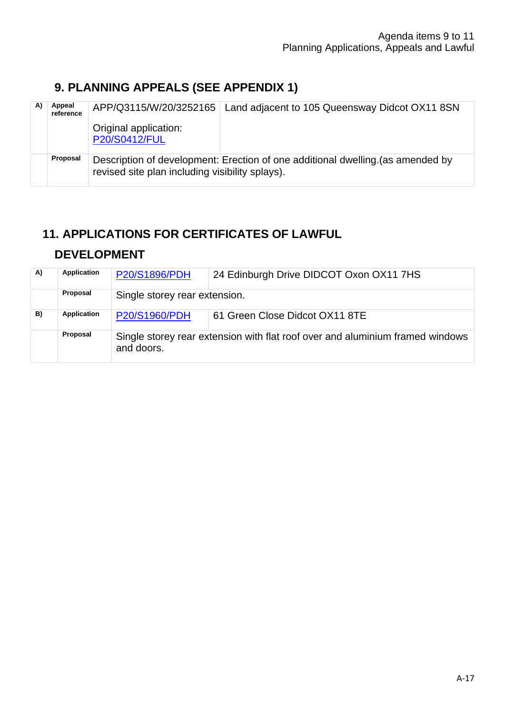# **9. PLANNING APPEALS (SEE APPENDIX 1)**

| Appeal<br>reference |                                                                                                                                   | APP/Q3115/W/20/3252165   Land adjacent to 105 Queensway Didcot OX11 8SN |  |
|---------------------|-----------------------------------------------------------------------------------------------------------------------------------|-------------------------------------------------------------------------|--|
|                     | Original application:<br>P20/S0412/FUL                                                                                            |                                                                         |  |
| Proposal            | Description of development: Erection of one additional dwelling (as amended by<br>revised site plan including visibility splays). |                                                                         |  |

# **11. APPLICATIONS FOR CERTIFICATES OF LAWFUL**

# **DEVELOPMENT**

| A) | Application        | <b>P20/S1896/PDH</b>                                                                        | 24 Edinburgh Drive DIDCOT Oxon OX11 7HS |  |
|----|--------------------|---------------------------------------------------------------------------------------------|-----------------------------------------|--|
|    | Proposal           | Single storey rear extension.                                                               |                                         |  |
| B) | <b>Application</b> | <b>P20/S1960/PDH</b>                                                                        | 61 Green Close Didcot OX11 8TE          |  |
|    | Proposal           | Single storey rear extension with flat roof over and aluminium framed windows<br>and doors. |                                         |  |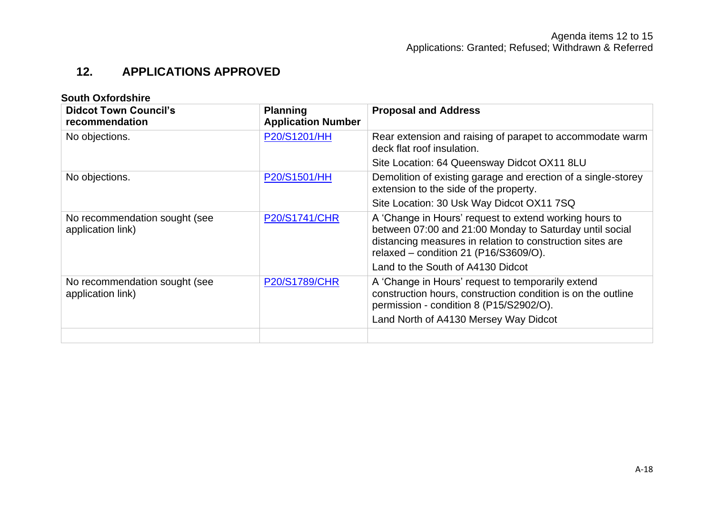# **12. APPLICATIONS APPROVED**

| <b>South Oxfordshire</b>                           |                                              |                                                                                                                                                                                                                         |  |
|----------------------------------------------------|----------------------------------------------|-------------------------------------------------------------------------------------------------------------------------------------------------------------------------------------------------------------------------|--|
| <b>Didcot Town Council's</b><br>recommendation     | <b>Planning</b><br><b>Application Number</b> | <b>Proposal and Address</b>                                                                                                                                                                                             |  |
| No objections.                                     | P20/S1201/HH                                 | Rear extension and raising of parapet to accommodate warm<br>deck flat roof insulation.                                                                                                                                 |  |
|                                                    |                                              | Site Location: 64 Queensway Didcot OX11 8LU                                                                                                                                                                             |  |
| No objections.                                     | P20/S1501/HH                                 | Demolition of existing garage and erection of a single-storey<br>extension to the side of the property.                                                                                                                 |  |
|                                                    |                                              | Site Location: 30 Usk Way Didcot OX11 7SQ                                                                                                                                                                               |  |
| No recommendation sought (see<br>application link) | <b>P20/S1741/CHR</b>                         | A 'Change in Hours' request to extend working hours to<br>between 07:00 and 21:00 Monday to Saturday until social<br>distancing measures in relation to construction sites are<br>relaxed - condition 21 (P16/S3609/O). |  |
|                                                    |                                              | Land to the South of A4130 Didcot                                                                                                                                                                                       |  |
| No recommendation sought (see<br>application link) | <b>P20/S1789/CHR</b>                         | A 'Change in Hours' request to temporarily extend<br>construction hours, construction condition is on the outline<br>permission - condition 8 (P15/S2902/O).                                                            |  |
|                                                    |                                              | Land North of A4130 Mersey Way Didcot                                                                                                                                                                                   |  |
|                                                    |                                              |                                                                                                                                                                                                                         |  |